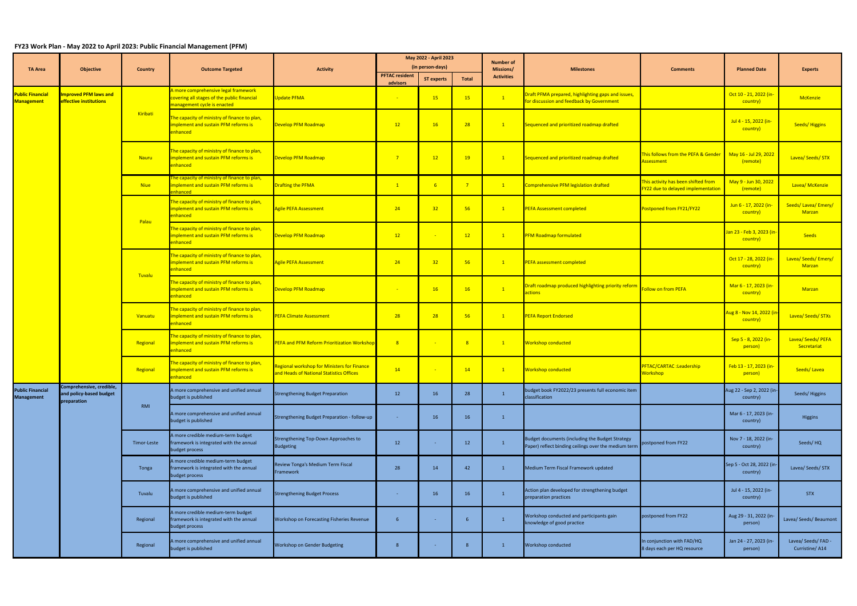## **FY23 Work Plan - May 2022 to April 2023: Public Financial Management (PFM)**

|                                              | <b>Objective</b>                                                   | <b>Country</b> | <b>Outcome Targeted</b>                                                                                            | <b>Activity</b>                                                                         | May 2022 - April 2023                     |                   |                | <b>Number of</b><br>Missions/<br><b>Activities</b> | <b>Milestones</b>                                                                                       | <b>Comments</b>                                                                | <b>Planned Date</b>                                | <b>Experts</b>                        |
|----------------------------------------------|--------------------------------------------------------------------|----------------|--------------------------------------------------------------------------------------------------------------------|-----------------------------------------------------------------------------------------|-------------------------------------------|-------------------|----------------|----------------------------------------------------|---------------------------------------------------------------------------------------------------------|--------------------------------------------------------------------------------|----------------------------------------------------|---------------------------------------|
| <b>TA Area</b>                               |                                                                    |                |                                                                                                                    |                                                                                         | (in person-days)<br><b>PFTAC resident</b> |                   |                |                                                    |                                                                                                         |                                                                                |                                                    |                                       |
|                                              |                                                                    |                |                                                                                                                    |                                                                                         | advisors                                  | <b>ST experts</b> | Total          |                                                    |                                                                                                         |                                                                                |                                                    |                                       |
| ublic Financial<br><b>Management</b>         | mproved PFM laws and<br>effective institutions                     | Kiribati       | A more comprehensive legal framework<br>covering all stages of the public financial<br>management cycle is enacted | Update PFMA                                                                             |                                           | <b>15</b>         | 15             | $\boxed{1}$                                        | Draft PFMA prepared, highlighting gaps and issues,<br>for discussion and feedback by Government         |                                                                                | Oct 10 - 21, 2022 (in-<br>country)                 | <b>McKenzie</b>                       |
|                                              |                                                                    |                | The capacity of ministry of finance to plan,<br>implement and sustain PFM reforms is<br>enhanced                   | Develop PFM Roadmap                                                                     | 12                                        | 16                | 28             | $\mathbf{1}$                                       | Sequenced and prioritized roadmap drafted                                                               |                                                                                | Jul 4 - 15, 2022 (in-<br>country)                  | <b>Seeds/Higgins</b>                  |
|                                              |                                                                    | <b>Nauru</b>   | The capacity of ministry of finance to plan,<br>mplement and sustain PFM reforms is<br>enhanced                    | Develop PFM Roadmap                                                                     | $\overline{7}$                            | 12                | 19             | $\mathbf{1}$                                       | Sequenced and prioritized roadmap drafted                                                               | This follows from the PEFA & Gender Nay 16 - Jul 29, 2022<br><b>Assessment</b> | (remote)                                           | Lavea/ Seeds/ STX                     |
|                                              |                                                                    | <b>Niue</b>    | he capacity of ministry of finance to plan,<br>implement and sustain PFM reforms is<br>nhanced                     | <b>Drafting the PFMA</b>                                                                | $\vert 1 \vert$                           | 6 <sup>°</sup>    | 7 <sup>7</sup> | $\vert 1 \vert$                                    | Comprehensive PFM legislation drafted                                                                   | This activity has been shifted from<br>FY22 due to delayed implementation      | May 9 - Jun 30, 2022<br>(remote)                   | Lavea/ McKenzie                       |
|                                              |                                                                    | Palau          | The capacity of ministry of finance to plan,<br>implement and sustain PFM reforms is<br>enhanced                   | <b>Agile PEFA Assessment</b>                                                            | 24                                        | 32                | 56             | $\mathbf{1}$                                       | <b>PEFA Assessment completed</b>                                                                        | Postponed from FY21/FY22                                                       | Jun 6 - 17, 2022 (in-<br>country)                  | Seeds/Lavea/Emery/<br><b>Marzan</b>   |
|                                              |                                                                    |                | The capacity of ministry of finance to plan,<br>implement and sustain PFM reforms is<br>nhanced                    | Develop PFM Roadmap                                                                     | 12                                        |                   | 12             | $\sqrt{1}$                                         | <b>PFM Roadmap formulated</b>                                                                           |                                                                                | <mark>Jan 23 - Feb 3, 2023 (in-</mark><br>country) | <b>Seeds</b>                          |
|                                              |                                                                    | Tuvalu         | The capacity of ministry of finance to plan,<br>implement and sustain PFM reforms is<br>enhanced                   | Agile PEFA Assessment                                                                   | 24                                        | 32                | 56             | $\mathbf{1}$                                       | PEFA assessment completed                                                                               |                                                                                | Oct 17 - 28, 2022 (in-<br>country)                 | Lavea/ Seeds/ Emery/<br>Marzan        |
|                                              |                                                                    |                | The capacity of ministry of finance to plan,<br>implement and sustain PFM reforms is<br>enhanced                   | Develop PFM Roadmap                                                                     |                                           | 16                | 16             | $\boxed{1}$                                        | Draft roadmap produced highlighting priority reform<br>ctions                                           | <b>Follow on from PEFA</b>                                                     | Mar 6 - 17, 2023 (in-<br>country)                  | <b>Marzan</b>                         |
|                                              |                                                                    | Vanuatu        | he capacity of ministry of finance to plan,<br>Implement and sustain PFM reforms is<br>enhanced                    | <b>PEFA Climate Assessment</b>                                                          | 28                                        | 28                | 56             | $\mathbf{1}$                                       | <b>PEFA Report Endorsed</b>                                                                             |                                                                                | Aug 8 - Nov 14, 2022 (in<br>country)               | Lavea/ Seeds/ STXs                    |
|                                              |                                                                    | Regional       | The capacity of ministry of finance to plan,<br><b>Implement and sustain PFM reforms is</b><br>enhanced            | PEFA and PFM Reform Prioritization Workshop                                             | 8 <sup>2</sup>                            | $\sim$            | 8 <sup>2</sup> | $\mathbf{1}$                                       | Workshop conducted                                                                                      |                                                                                | Sep 5 - 8, 2022 (in-<br>person)                    | Lavea/ Seeds/ PEFA<br>Secretariat     |
|                                              |                                                                    | Regional       | The capacity of ministry of finance to plan,<br>implement and sustain PFM reforms is<br>ihanced and                | Regional workshop for Ministers for Finance<br>and Heads of National Statistics Offices | 14                                        |                   | 14             | $\mathbf{1}$                                       | Workshop conducted                                                                                      | PFTAC/CARTAC : Leadership<br><b>Workshop</b>                                   | Feb 13 - 17, 2023 (in-<br>person)                  | Seeds/Lavea                           |
| <b>Public Financial</b><br><b>Management</b> | Comprehensive, credible,<br>and policy-based budget<br>preparation | RMI            | A more comprehensive and unified annual<br>budget is published                                                     | <b>Strengthening Budget Preparation</b>                                                 | 12                                        | 16                | 28             | $\mathbf{1}$                                       | budget book FY2022/23 presents full economic item<br>classification                                     |                                                                                | Aug 22 - Sep 2, 2022 (in-<br>country)              | Seeds/Higgins                         |
|                                              |                                                                    |                | A more comprehensive and unified annual<br>budget is published                                                     | Strengthening Budget Preparation - follow-up                                            |                                           | 16                | 16             | $\overline{1}$                                     |                                                                                                         |                                                                                | Mar 6 - 17, 2023 (in-<br>country)                  | Higgins                               |
|                                              |                                                                    | Timor-Leste    | A more credible medium-term budget<br>framework is integrated with the annual<br>budget process                    | Strengthening Top-Down Approaches to<br><b>Budgeting</b>                                | 12                                        |                   | 12             | $\mathbf{1}$                                       | Budget documents (including the Budget Strategy<br>Paper) reflect binding ceilings over the medium term | postponed from FY22                                                            | Nov 7 - 18, 2022 (in-<br>country)                  | Seeds/HQ                              |
|                                              |                                                                    | Tonga          | A more credible medium-term budget<br>framework is integrated with the annual<br>budget process                    | Review Tonga's Medium Term Fiscal<br>Framework                                          | 28                                        | 14                | 42             | $\mathbf{1}$                                       | Medium Term Fiscal Framework updated                                                                    |                                                                                | Sep 5 - Oct 28, 2022 (in-<br>country)              | Lavea/ Seeds/ STX                     |
|                                              |                                                                    | Tuvalu         | A more comprehensive and unified annual<br>budget is published                                                     | Strengthening Budget Process                                                            | <b>Contract</b>                           | 16                | 16             | $\mathbf{1}$                                       | Action plan developed for strengthening budget<br>preparation practices                                 |                                                                                | Jul 4 - 15, 2022 (in-<br>country)                  | <b>STX</b>                            |
|                                              |                                                                    | Regional       | A more credible medium-term budget<br>framework is integrated with the annual<br>budget process                    | Workshop on Forecasting Fisheries Revenue                                               | 6                                         | $\sim$            |                | $\mathbf{1}$                                       | Workshop conducted and participants gain<br>knowledge of good practice                                  | postponed from FY22                                                            | Aug 29 - 31, 2022 (in-<br>person)                  | Lavea/ Seeds/ Beaumont                |
|                                              |                                                                    | Regional       | A more comprehensive and unified annual<br>budget is published                                                     | Workshop on Gender Budgeting                                                            | -8                                        | $\sim$            | -8             | $\mathbf{1}$                                       | Workshop conducted                                                                                      | In conjunction with FAD/HQ<br>8 days each per HQ resource                      | Jan 24 - 27, 2023 (in-<br>person)                  | Lavea/ Seeds/ FAD -<br>Curristine/A14 |